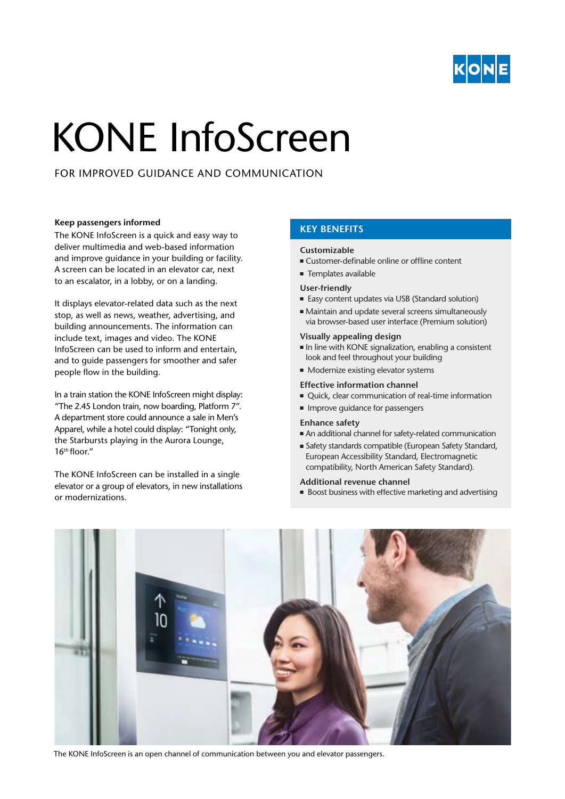

# KONE InfoScreen

FOR IMPROVED GUIDANCE AND COMMUNICATION

## **KEY BENEFITS Keep passengers informed**

The KONE InfoScreen is a quick and easy way to deliver multimedia and web-based information and improve guidance in your building or facility. A screen can be located in an elevator car, next to an escalator, in a lobby, or on a landing.

It displays elevator-related data such as the next stop, as well as news, weather, advertising, and building announcements. The information can include text, images and video. The KONE InfoScreen can be used to inform and entertain, and to guide passengers for smoother and safer people flow in the building.

In a train station the KONE InfoScreen might display: "The 2.45 London train, now boarding, Platform 7". A department store could announce a sale in Men's Apparel, while a hotel could display: "Tonight only, the Starbursts playing in the Aurora Lounge,  $16<sup>th</sup>$  floor."

The KONE InfoScreen can be installed in a single elevator or a group of elevators, in new installations or modernizations.

#### **Customizable**

- Customer-definable online or offline content
- Templates available

### **User-friendly**

- Easy content updates via USB (Standard solution)
- Maintain and update several screens simultaneously via browser-based user interface (Premium solution)

### **Visually appealing design**

- In line with KONE signalization, enabling a consistent look and feel throughout your building
- Modernize existing elevator systems

#### **Effective information channel**

- Quick, clear communication of real-time information
- Improve guidance for passengers

#### **Enhance safety**

- An additional channel for safety-related communication
- Safety standards compatible (European Safety Standard, European Accessibility Standard, Electromagnetic compatibility, North American Safety Standard).

#### **Additional revenue channel**

■ Boost business with effective marketing and advertising



The KONE InfoScreen is an open channel of communication between you and elevator passengers.